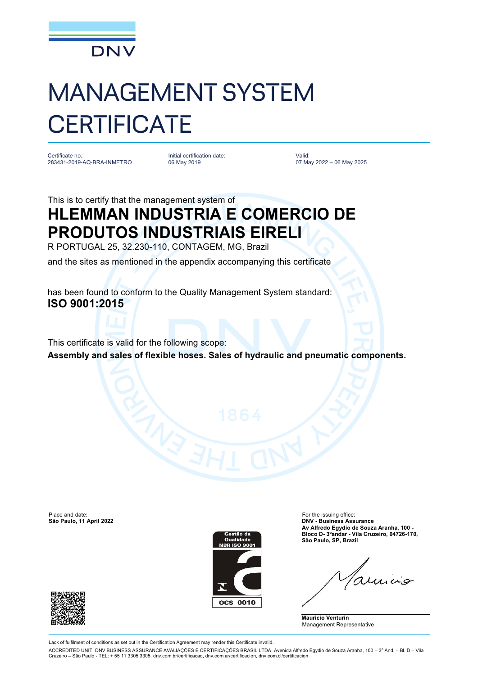

## MANAGEMENT SYSTEM **CERTIFICATE**

Certificate no.: 283431-2019-AQ-BRA-INMETRO Initial certification date: 06 May 2019

Valid: 07 May 2022 – 06 May 2025

## This is to certify that the management system of **HLEMMAN INDUSTRIA E COMERCIO DE PRODUTOS INDUSTRIAIS EIRELI**

R PORTUGAL 25, 32.230-110, CONTAGEM, MG, Brazil

and the sites as mentioned in the appendix accompanying this certificate

has been found to conform to the Quality Management System standard: **ISO 9001:2015**

This certificate is valid for the following scope: **Assembly and sales of flexible hoses. Sales of hydraulic and pneumatic components.**

Place and date: For the issuing office:<br>
São Paulo, 11 April 2022<br>
São Paulo, 11 April 2022





**São Paulo, 11 April 2022 DNV - Business Assurance Av Alfredo Egydio de Souza Aranha, 100 - Bloco D- 3ºandar - Vila Cruzeiro, 04726-170, São Paulo, SP, Brazil**

**Mauricio Venturin** Management Representative



Lack of fulfilment of conditions as set out in the Certification Agreement may render this Certificate invalid.

ACCREDITED UNIT: DNV BUSINESS ASSURANCE AVALIAÇÕES E CERTIFICAÇÕES BRASIL LTDA, Avenida Alfredo Egydio de Souza Aranha, 100 – 3º And. – Bl. D – Vila Cruzeiro – São Paulo - TEL: + 55 11 3305 3305. dnv.com.br/certificacao, dnv.com.ar/certificacion, dnv.com.cl/certificacion